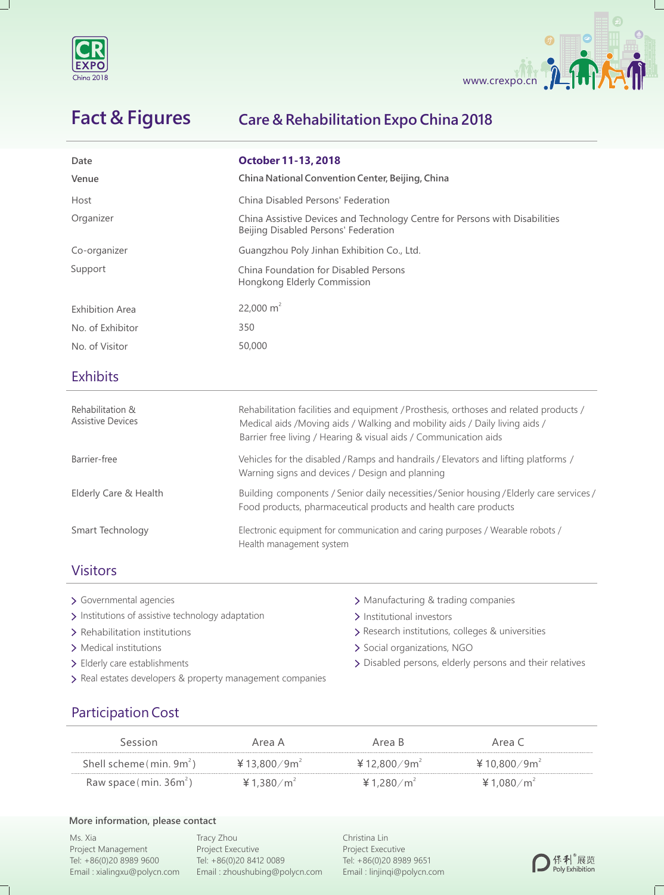



# **Fact & Figures**

#### **Care & Rehabilitation Expo China 2018**

| Date<br>Venue                                | <b>October 11-13, 2018</b><br>China National Convention Center, Beijing, China                                                                                                                                                           |  |  |
|----------------------------------------------|------------------------------------------------------------------------------------------------------------------------------------------------------------------------------------------------------------------------------------------|--|--|
| Host                                         | China Disabled Persons' Federation                                                                                                                                                                                                       |  |  |
| Organizer                                    | China Assistive Devices and Technology Centre for Persons with Disabilities<br>Beijing Disabled Persons' Federation                                                                                                                      |  |  |
| Co-organizer                                 | Guangzhou Poly Jinhan Exhibition Co., Ltd.                                                                                                                                                                                               |  |  |
| Support                                      | China Foundation for Disabled Persons<br>Hongkong Elderly Commission                                                                                                                                                                     |  |  |
| <b>Exhibition Area</b>                       | 22,000 $m2$                                                                                                                                                                                                                              |  |  |
| No. of Exhibitor                             | 350                                                                                                                                                                                                                                      |  |  |
| No. of Visitor                               | 50,000                                                                                                                                                                                                                                   |  |  |
| <b>Exhibits</b>                              |                                                                                                                                                                                                                                          |  |  |
| Rehabilitation &<br><b>Assistive Devices</b> | Rehabilitation facilities and equipment / Prosthesis, orthoses and related products /<br>Medical aids /Moving aids / Walking and mobility aids / Daily living aids /<br>Barrier free living / Hearing & visual aids / Communication aids |  |  |
| Barrier-free                                 | Vehicles for the disabled / Ramps and handrails / Elevators and lifting platforms /<br>Warning signs and devices / Design and planning                                                                                                   |  |  |
| Elderly Care & Health                        | Building components / Senior daily necessities/Senior housing / Elderly care services /<br>Food products, pharmaceutical products and health care products                                                                               |  |  |
| Smart Technology                             | Electronic equipment for communication and caring purposes / Wearable robots /<br>Health management system                                                                                                                               |  |  |

#### Visitors

- > Governmental agencies
- > Institutions of assistive technology adaptation > Institutional investors
- > Rehabilitation institutions
- > Medical institutions
- > Elderly care establishments
- > Real estates developers & property management companies
- > Manufacturing & trading companies
- 
- > Research institutions, colleges & universities
- > Social organizations, NGO
- Disabled persons, elderly persons and their relatives

### Participation Cost

| Session                   | Area A                   | Area B                  | Area C          |  |
|---------------------------|--------------------------|-------------------------|-----------------|--|
| Shell scheme $(min. 9m2)$ | ¥ 13,800/9m <sup>2</sup> | ¥12,800/9m <sup>2</sup> | ¥ 10,800/9 $m2$ |  |
| Raw space (min. $36m^2$ ) | ¥ 1.380/m <sup>2</sup>   | ¥ 1,280/m <sup>2</sup>  | ¥ 1,080/ $m^2$  |  |

#### **More information, please contact**

Ms. Xia Project Management Tel: +86(0)20 8989 9600 Email : xialingxu@polycn.com

Tracy Zhou Project Executive Tel: +86(0)20 8412 0089 Email : zhoushubing@polycn.com Christina Lin Project Executive Tel: +86(0)20 8989 9651 Email : linjinqi@polycn.com



 $\mathbb{L}$